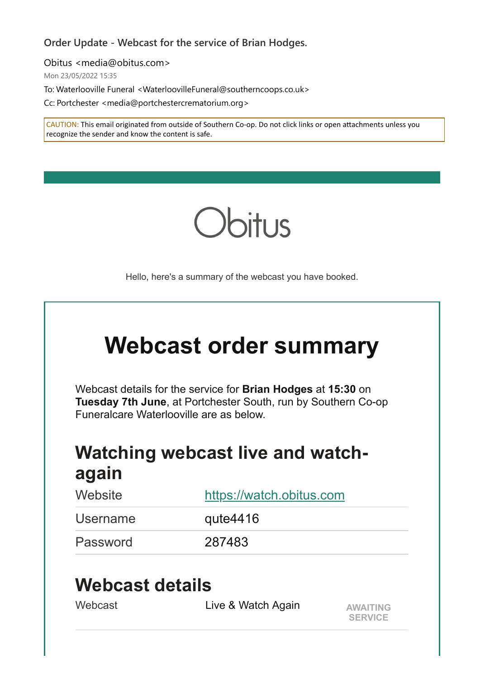#### **Order Update - Webcast for the service of Brian Hodges.**

Obitus <media@obitus.com>

Mon 23/05/2022 15:35

To: Waterlooville Funeral <WaterloovilleFuneral@southerncoops.co.uk>

Cc: Portchester <media@portchestercrematorium.org>

CAUTION: This email originated from outside of Southern Co-op. Do not click links or open attachments unless you recognize the sender and know the content is safe.



Hello, here's a summary of the webcast you have booked.

| <b>Webcast order summary</b> |  |
|------------------------------|--|
|------------------------------|--|

Webcast details for the service for **Brian Hodges** at **15:30** on **Tuesday 7th June**, at Portchester South, run by Southern Co-op Funeralcare Waterlooville are as below.

# **Watching webcast live and watchagain**

| Website  | https://watch.obitus.com |
|----------|--------------------------|
| Username | qute $4416$              |
| Password | 287483                   |

## **Webcast details**

| Webcast | Live & Watch Again | <b>AWAITING</b> |
|---------|--------------------|-----------------|
|         |                    | <b>SERVICE</b>  |